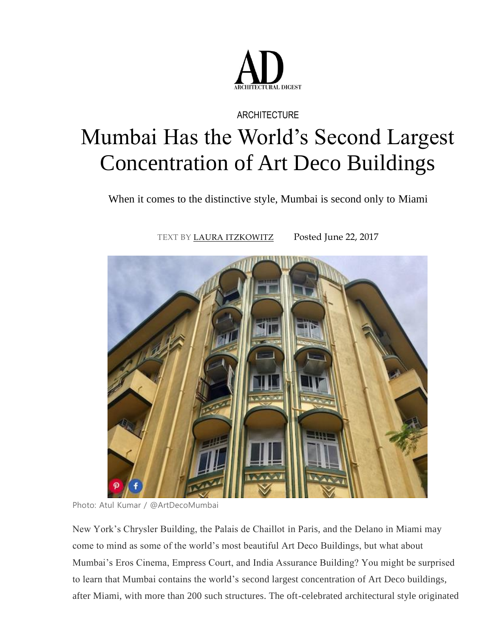

## **ARCHITECTURE**

## Mumbai Has the World's Second Largest Concentration of Art Deco Buildings

When it comes to the distinctive style, Mumbai is second only to Miami

TEXT BY [LAURA ITZKOWITZ](http://www.architecturaldigest.com/contributor/laura-itzkowitz) Posted June 22, 2017



Photo: Atul Kumar / @ArtDecoMumbai

New York's Chrysler Building, the Palais de Chaillot in Paris, and the Delano in Miami may come to mind as some of the world's most beautiful Art Deco Buildings, but what about Mumbai's Eros Cinema, Empress Court, and India Assurance Building? You might be surprised to learn that Mumbai contains the world's second largest concentration of Art Deco buildings, after Miami, with more than 200 such structures. The oft-celebrated architectural style originated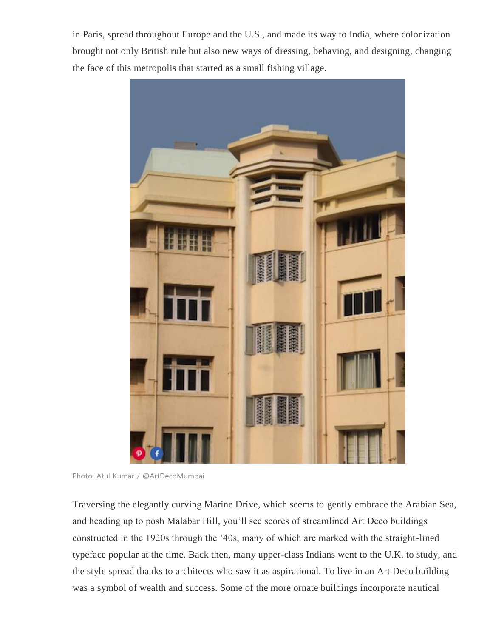in Paris, spread throughout Europe and the U.S., and made its way to India, where colonization brought not only British rule but also new ways of dressing, behaving, and designing, changing the face of this metropolis that started as a small fishing village.



Photo: Atul Kumar / @ArtDecoMumbai

Traversing the elegantly curving Marine Drive, which seems to gently embrace the Arabian Sea, and heading up to posh Malabar Hill, you'll see scores of streamlined Art Deco buildings constructed in the 1920s through the '40s, many of which are marked with the straight-lined typeface popular at the time. Back then, many upper-class Indians went to the U.K. to study, and the style spread thanks to architects who saw it as aspirational. To live in an Art Deco building was a symbol of wealth and success. Some of the more ornate buildings incorporate nautical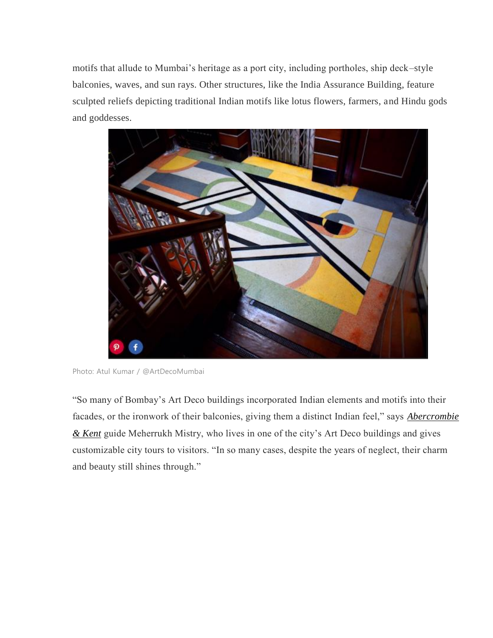motifs that allude to Mumbai's heritage as a port city, including portholes, ship deck–style balconies, waves, and sun rays. Other structures, like the India Assurance Building, feature sculpted reliefs depicting traditional Indian motifs like lotus flowers, farmers, and Hindu gods and goddesses.



Photo: Atul Kumar / @ArtDecoMumbai

"So many of Bombay's Art Deco buildings incorporated Indian elements and motifs into their facades, or the ironwork of their balconies, giving them a distinct Indian feel," says *[Abercrombie](http://www.abercrombiekent.com/)  [& Kent](http://www.abercrombiekent.com/)* guide Meherrukh Mistry, who lives in one of the city's Art Deco buildings and gives customizable city tours to visitors. "In so many cases, despite the years of neglect, their charm and beauty still shines through."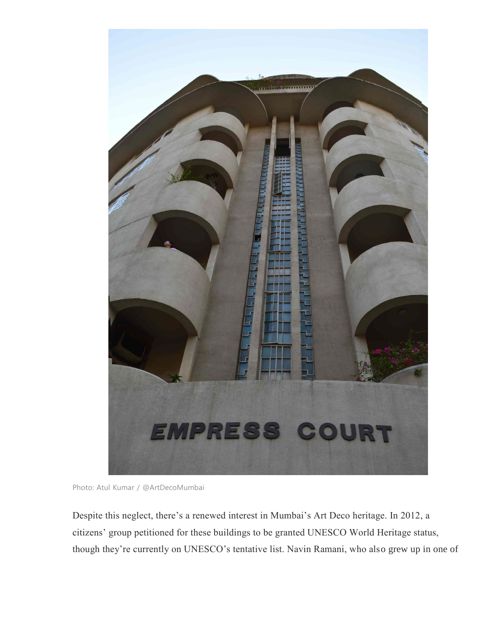

Photo: Atul Kumar / @ArtDecoMumbai

Despite this neglect, there's a renewed interest in Mumbai's Art Deco heritage. In 2012, a citizens' group petitioned for these buildings to be granted UNESCO World Heritage status, though they're currently on UNESCO's tentative list. Navin Ramani, who also grew up in one of